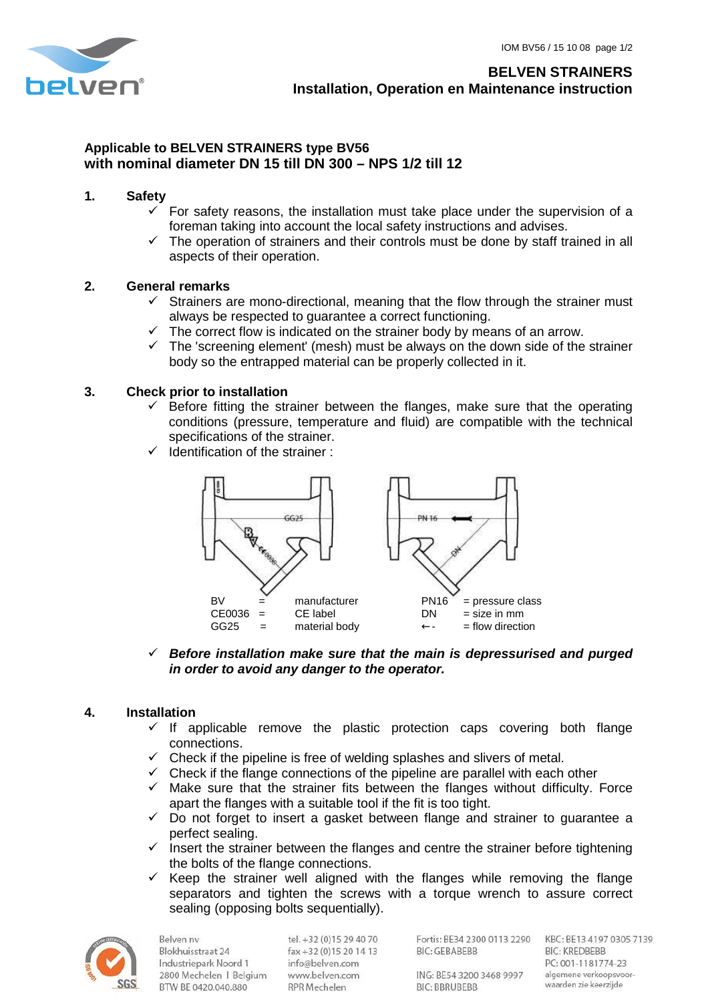

## **Applicable to BELVEN STRAINERS type BV56 with nominal diameter DN 15 till DN 300 – NPS 1/2 till 12**

## **1. Safety**

- $\checkmark$  For safety reasons, the installation must take place under the supervision of a foreman taking into account the local safety instructions and advises.
- $\checkmark$  The operation of strainers and their controls must be done by staff trained in all aspects of their operation.

## **2. General remarks**

- $\checkmark$  Strainers are mono-directional, meaning that the flow through the strainer must always be respected to guarantee a correct functioning.
- $\checkmark$  The correct flow is indicated on the strainer body by means of an arrow.
- $\checkmark$  The 'screening element' (mesh) must be always on the down side of the strainer body so the entrapped material can be properly collected in it.

## **3. Check prior to installation**

- $\checkmark$  Before fitting the strainer between the flanges, make sure that the operating conditions (pressure, temperature and fluid) are compatible with the technical specifications of the strainer.
- Identification of the strainer :



 **Before installation make sure that the main is depressurised and purged in order to avoid any danger to the operator.** 

#### **4. Installation**

- $\checkmark$  If applicable remove the plastic protection caps covering both flange connections.
- $\checkmark$  Check if the pipeline is free of welding splashes and slivers of metal.
- $\checkmark$  Check if the flange connections of the pipeline are parallel with each other
- $\checkmark$  Make sure that the strainer fits between the flanges without difficulty. Force apart the flanges with a suitable tool if the fit is too tight.
- $\checkmark$  Do not forget to insert a gasket between flange and strainer to guarantee a perfect sealing.
- $\checkmark$  insert the strainer between the flanges and centre the strainer before tightening the bolts of the flange connections.
- $\checkmark$  Keep the strainer well aligned with the flanges while removing the flange separators and tighten the screws with a torque wrench to assure correct sealing (opposing bolts sequentially).



**Belven** ny Blokhuisstraat 24 Industriepark Noord 1 2800 Mechelen | Belgium BTW BE 0420.040.880

tel. +32 (0)15 29 40 70 fax +32 (0) 15 20 14 13 info@belven.com www.belven.com RPR Mechelen

Fortis: BE34 2300 0113 2290 KBC: BE13 4197 0305 7139 **BIC: GEBABEBB** 

**BIC: KREDBEBB** PC: 001-1181774-23 algemene verkoopsvoorwaarden zie keerzijde

ING: BE54 3200 3468 9997 **BIC: BBRUBEBB**